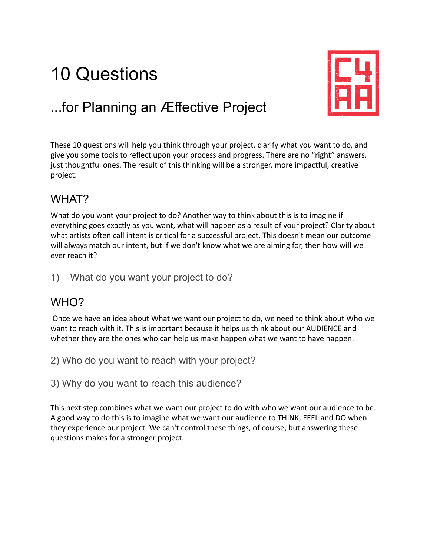# 10 Questions



## ...for Planning an Æffective Project

These 10 questions will help you think through your project, clarify what you want to do, and give you some tools to reflect upon your process and progress. There are no "right" answers, just thoughtful ones. The result of this thinking will be a stronger, more impactful, creative project.

#### WHAT?

What do you want your project to do? Another way to think about this is to imagine if everything goes exactly as you want, what will happen as a result of your project? Clarity about what artists often call intent is critical for a successful project. This doesn't mean our outcome will always match our intent, but if we don't know what we are aiming for, then how will we ever reach it?

1) What do you want your project to do?

#### WHO?

Once we have an idea about What we want our project to do, we need to think about Who we want to reach with it. This is important because it helps us think about our AUDIENCE and whether they are the ones who can help us make happen what we want to have happen.

2) Who do you want to reach with your project?

3) Why do you want to reach this audience?

This next step combines what we want our project to do with who we want our audience to be. A good way to do this is to imagine what we want our audience to THINK, FEEL and DO when they experience our project. We can't control these things, of course, but answering these questions makes for a stronger project.